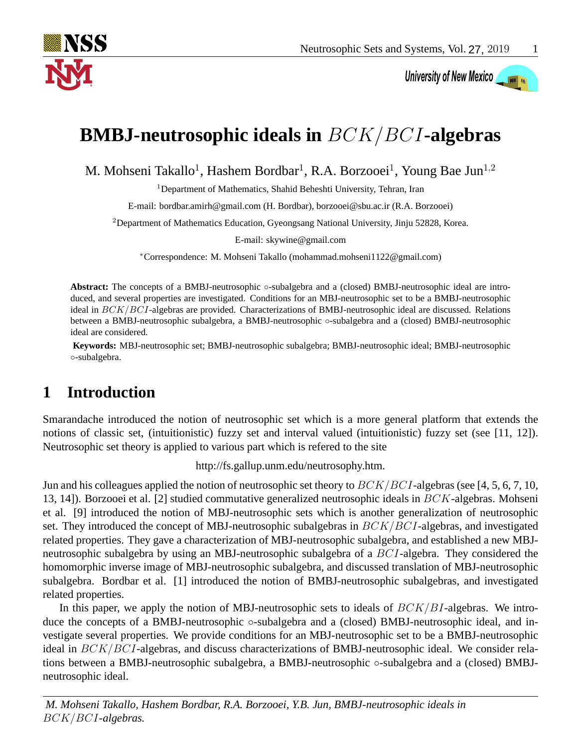

# University of New Mexico

## **BMBJ-neutrosophic ideals in** BCK/BCI**-algebras**

M. Mohseni Takallo<sup>1</sup>, Hashem Bordbar<sup>1</sup>, R.A. Borzooei<sup>1</sup>, Young Bae Jun<sup>1,2</sup>

<sup>1</sup>Department of Mathematics, Shahid Beheshti University, Tehran, Iran

E-mail: bordbar.amirh@gmail.com (H. Bordbar), borzooei@sbu.ac.ir (R.A. Borzooei)

<sup>2</sup>Department of Mathematics Education, Gyeongsang National University, Jinju 52828, Korea.

E-mail: skywine@gmail.com

<sup>∗</sup>Correspondence: M. Mohseni Takallo (mohammad.mohseni1122@gmail.com)

Abstract: The concepts of a BMBJ-neutrosophic ∘-subalgebra and a (closed) BMBJ-neutrosophic ideal are introduced, and several properties are investigated. Conditions for an MBJ-neutrosophic set to be a BMBJ-neutrosophic ideal in BCK/BCI-algebras are provided. Characterizations of BMBJ-neutrosophic ideal are discussed. Relations between a BMBJ-neutrosophic subalgebra, a BMBJ-neutrosophic ◦-subalgebra and a (closed) BMBJ-neutrosophic ideal are considered.

**Keywords:** MBJ-neutrosophic set; BMBJ-neutrosophic subalgebra; BMBJ-neutrosophic ideal; BMBJ-neutrosophic ◦-subalgebra.

### **1 Introduction**

Smarandache introduced the notion of neutrosophic set which is a more general platform that extends the notions of classic set, (intuitionistic) fuzzy set and interval valued (intuitionistic) fuzzy set (see [\[11,](#page-15-0) [12\]](#page-15-1)). Neutrosophic set theory is applied to various part which is refered to the site

http://fs.gallup.unm.edu/neutrosophy.htm.

Jun and his colleagues applied the notion of neutrosophic set theory to  $BCK/BCI$ -algebras (see [\[4,](#page-15-2) [5,](#page-15-3) [6,](#page-15-4) [7,](#page-15-5) [10,](#page-15-6) [13,](#page-15-7) [14\]](#page-15-8)). Borzooei et al. [\[2\]](#page-15-9) studied commutative generalized neutrosophic ideals in BCK-algebras. Mohseni et al. [\[9\]](#page-15-10) introduced the notion of MBJ-neutrosophic sets which is another generalization of neutrosophic set. They introduced the concept of MBJ-neutrosophic subalgebras in  $BCK/BCI$ -algebras, and investigated related properties. They gave a characterization of MBJ-neutrosophic subalgebra, and established a new MBJneutrosophic subalgebra by using an MBJ-neutrosophic subalgebra of a BCI-algebra. They considered the homomorphic inverse image of MBJ-neutrosophic subalgebra, and discussed translation of MBJ-neutrosophic subalgebra. Bordbar et al. [\[1\]](#page-15-11) introduced the notion of BMBJ-neutrosophic subalgebras, and investigated related properties.

In this paper, we apply the notion of MBJ-neutrosophic sets to ideals of  $BCK/BI$ -algebras. We introduce the concepts of a BMBJ-neutrosophic ◦-subalgebra and a (closed) BMBJ-neutrosophic ideal, and investigate several properties. We provide conditions for an MBJ-neutrosophic set to be a BMBJ-neutrosophic ideal in BCK/BCI-algebras, and discuss characterizations of BMBJ-neutrosophic ideal. We consider relations between a BMBJ-neutrosophic subalgebra, a BMBJ-neutrosophic ◦-subalgebra and a (closed) BMBJneutrosophic ideal.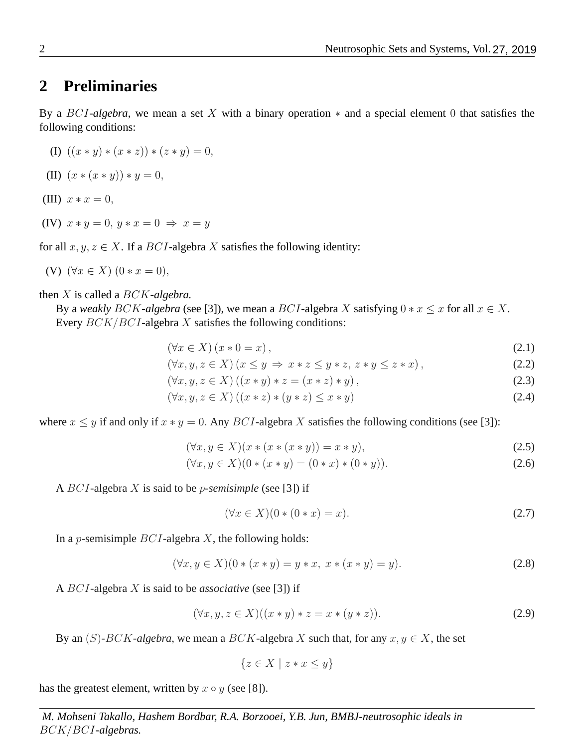#### **2 Preliminaries**

By a BCI*-algebra*, we mean a set X with a binary operation ∗ and a special element 0 that satisfies the following conditions:

$$
(I) ((x * y) * (x * z)) * (z * y) = 0,
$$

(II)  $(x * (x * y)) * y = 0$ ,

- (III)  $x * x = 0$ ,
- (IV)  $x * y = 0, y * x = 0 \Rightarrow x = y$

for all  $x, y, z \in X$ . If a *BCI*-algebra X satisfies the following identity:

(V) 
$$
(\forall x \in X) (0 * x = 0),
$$

then X is called a BCK*-algebra.*

By a *weakly* BCK-algebra (see [\[3\]](#page-15-12)), we mean a BCI-algebra X satisfying  $0 * x \leq x$  for all  $x \in X$ . Every  $BCK/BCI$ -algebra  $X$  satisfies the following conditions:

$$
(\forall x \in X) (x * 0 = x), \tag{2.1}
$$

<span id="page-1-0"></span>
$$
(\forall x, y, z \in X) (x \le y \Rightarrow x * z \le y * z, z * y \le z * x), \tag{2.2}
$$

$$
(\forall x, y, z \in X) ((x * y) * z = (x * z) * y),
$$
\n(2.3)

$$
(\forall x, y, z \in X) ((x * z) * (y * z) \le x * y)
$$
\n
$$
(2.4)
$$

where  $x \leq y$  if and only if  $x * y = 0$ . Any BCI-algebra X satisfies the following conditions (see [\[3\]](#page-15-12)):

$$
(\forall x, y \in X)(x * (x * (x * y)) = x * y),
$$
\n(2.5)

$$
(\forall x, y \in X)(0 * (x * y) = (0 * x) * (0 * y)).
$$
\n(2.6)

A BCI-algebra X is said to be p*-semisimple* (see [\[3\]](#page-15-12)) if

$$
(\forall x \in X)(0*(0*x) = x). \tag{2.7}
$$

In a *p*-semisimple  $BCI$ -algebra X, the following holds:

$$
(\forall x, y \in X)(0 * (x * y) = y * x, x * (x * y) = y).
$$
\n(2.8)

A BCI-algebra X is said to be *associative* (see [\[3\]](#page-15-12)) if

$$
(\forall x, y, z \in X)((x * y) * z = x * (y * z)).
$$
\n(2.9)

By an  $(S)$ -BCK-algebra, we mean a BCK-algebra X such that, for any  $x, y \in X$ , the set

 ${z \in X \mid z * x \leq y}$ 

has the greatest element, written by  $x \circ y$  (see [\[8\]](#page-15-13)).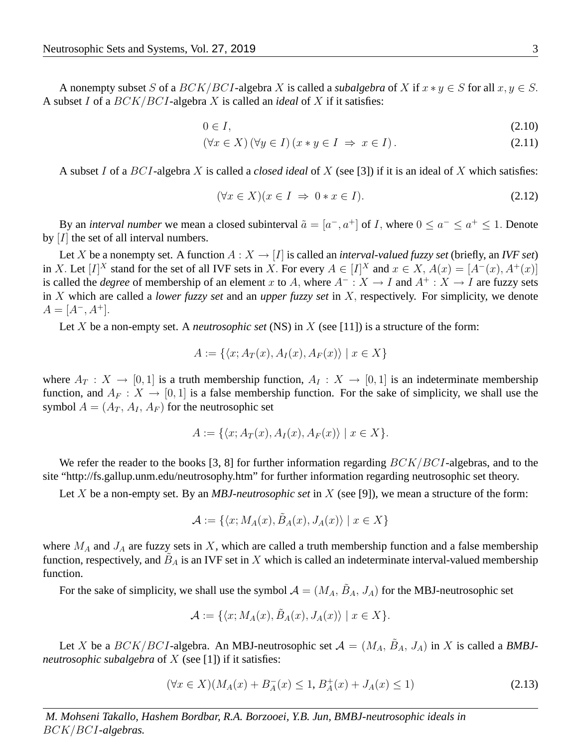A nonempty subset S of a  $BCK/BCI$ -algebra X is called a *subalgebra* of X if  $x * y \in S$  for all  $x, y \in S$ . A subset I of a BCK/BCI-algebra X is called an *ideal* of X if it satisfies:

$$
0 \in I,\tag{2.10}
$$

$$
(\forall x \in X) (\forall y \in I) (x * y \in I \Rightarrow x \in I).
$$
\n(2.11)

A subset I of a BCI-algebra X is called a *closed ideal* of X (see [\[3\]](#page-15-12)) if it is an ideal of X which satisfies:

$$
(\forall x \in X)(x \in I \Rightarrow 0 \ast x \in I). \tag{2.12}
$$

By an *interval number* we mean a closed subinterval  $\tilde{a} = [a^-, a^+]$  of *I*, where  $0 \le a^- \le a^+ \le 1$ . Denote by  $[I]$  the set of all interval numbers.

Let X be a nonempty set. A function  $A: X \to [I]$  is called an *interval-valued fuzzy set* (briefly, an *IVF set*) in X. Let  $[I]^X$  stand for the set of all IVF sets in X. For every  $A \in [I]^X$  and  $x \in X$ ,  $A(x) = [A^-(x), A^+(x)]$ is called the *degree* of membership of an element x to A, where  $A^- : X \to I$  and  $A^+ : X \to I$  are fuzzy sets in X which are called a *lower fuzzy set* and an *upper fuzzy set* in X, respectively. For simplicity, we denote  $A = [A^-, A^+]$ .

Let X be a non-empty set. A *neutrosophic set* (NS) in  $X$  (see [\[11\]](#page-15-0)) is a structure of the form:

$$
A := \{ \langle x; A_T(x), A_I(x), A_F(x) \rangle \mid x \in X \}
$$

where  $A_T : X \to [0, 1]$  is a truth membership function,  $A_I : X \to [0, 1]$  is an indeterminate membership function, and  $A_F : X \to [0, 1]$  is a false membership function. For the sake of simplicity, we shall use the symbol  $A = (A_T, A_I, A_F)$  for the neutrosophic set

$$
A := \{ \langle x; A_T(x), A_I(x), A_F(x) \rangle \mid x \in X \}.
$$

We refer the reader to the books [\[3,](#page-15-12) [8\]](#page-15-13) for further information regarding  $BCK/BCI$ -algebras, and to the site "http://fs.gallup.unm.edu/neutrosophy.htm" for further information regarding neutrosophic set theory.

Let X be a non-empty set. By an *MBJ-neutrosophic set* in X (see [\[9\]](#page-15-10)), we mean a structure of the form:

$$
\mathcal{A} := \{ \langle x; M_A(x), \tilde{B}_A(x), J_A(x) \rangle \mid x \in X \}
$$

where  $M_A$  and  $J_A$  are fuzzy sets in X, which are called a truth membership function and a false membership function, respectively, and  $\tilde{B}_A$  is an IVF set in X which is called an indeterminate interval-valued membership function.

For the sake of simplicity, we shall use the symbol  $A = (M_A, \tilde{B}_A, J_A)$  for the MBJ-neutrosophic set

<span id="page-2-0"></span>
$$
\mathcal{A} := \{ \langle x; M_A(x), \tilde{B}_A(x), J_A(x) \rangle \mid x \in X \}.
$$

Let X be a  $BCK/BCI$ -algebra. An MBJ-neutrosophic set  $\mathcal{A} = (M_A, \tilde{B}_A, J_A)$  in X is called a *BMBJneutrosophic subalgebra* of X (see [\[1\]](#page-15-11)) if it satisfies:

$$
(\forall x \in X)(M_A(x) + B_A^-(x) \le 1, B_A^+(x) + J_A(x) \le 1)
$$
\n(2.13)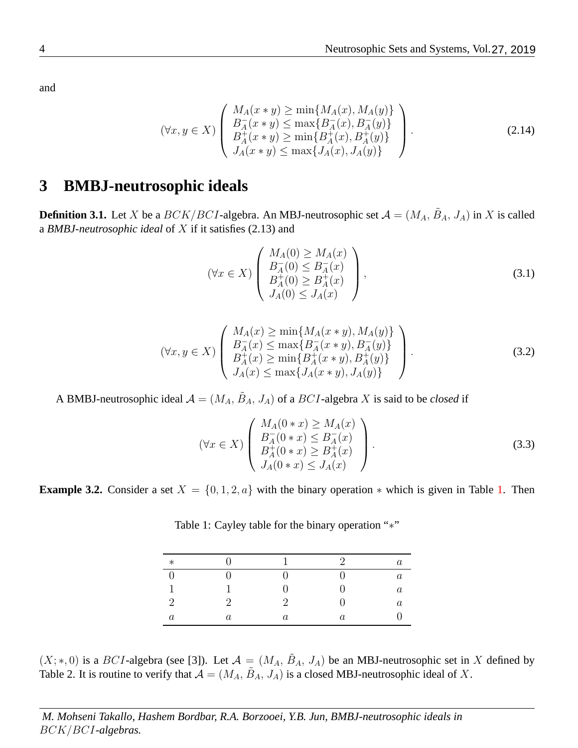$$
(\forall x, y \in X) \left( \begin{array}{c} M_A(x * y) \ge \min\{M_A(x), M_A(y)\} \\ B_A^-(x * y) \le \max\{B_A^-(x), B_A^-(y)\} \\ B_A^+(x * y) \ge \min\{B_A^+(x), B_A^+(y)\} \\ J_A(x * y) \le \max\{J_A(x), J_A(y)\} \end{array} \right). \tag{2.14}
$$

#### **3 BMBJ-neutrosophic ideals**

**Definition 3.1.** Let X be a  $BCK/BCI$ -algebra. An MBJ-neutrosophic set  $\mathcal{A} = (M_A, \tilde{B}_A, J_A)$  in X is called a *BMBJ-neutrosophic ideal* of X if it satisfies [\(2.13\)](#page-2-0) and

<span id="page-3-3"></span><span id="page-3-1"></span>
$$
(\forall x \in X) \begin{pmatrix} M_A(0) \ge M_A(x) \\ B_A^+(0) \le B_A^-(x) \\ B_A^+(0) \ge B_A^+(x) \\ J_A(0) \le J_A(x) \end{pmatrix},
$$
\n(3.1)

$$
(\forall x, y \in X) \left( \begin{array}{c} M_A(x) \ge \min\{M_A(x * y), M_A(y)\} \\ B_A^-(x) \le \max\{B_A^-(x * y), B_A^-(y)\} \\ B_A^+(x) \ge \min\{B_A^+(x * y), B_A^+(y)\} \\ J_A(x) \le \max\{J_A(x * y), J_A(y)\} \end{array} \right). \tag{3.2}
$$

A BMBJ-neutrosophic ideal  $\mathcal{A} = (M_A, \tilde{B}_A, J_A)$  of a  $BCI$ -algebra X is said to be *closed* if

<span id="page-3-4"></span>
$$
(\forall x \in X) \begin{pmatrix} M_A(0 * x) \ge M_A(x) \\ B_A^-(0 * x) \le B_A^-(x) \\ B_A^+(0 * x) \ge B_A^+(x) \\ J_A(0 * x) \le J_A(x) \end{pmatrix}.
$$
 (3.3)

**Example 3.2.** Consider a set  $X = \{0, 1, 2, a\}$  with the binary operation  $*$  which is given in Table [1.](#page-3-0) Then

| $\ast$           |          | $\mathbf{1}$ | $\mathcal{D}$ | $\boldsymbol{a}$ |
|------------------|----------|--------------|---------------|------------------|
|                  |          | 0            |               | $\it a$          |
|                  |          |              |               | $\it a$          |
| $\mathcal{D}$    | $\Omega$ | $\Omega$     |               | $\it a$          |
| $\boldsymbol{a}$ | $\it a$  | $\it a$      | $\it a$       |                  |

<span id="page-3-0"></span>Table 1: Cayley table for the binary operation "<sup>∗</sup>"

<span id="page-3-2"></span> $(X;*,0)$  is a BCI-algebra (see [\[3\]](#page-15-12)). Let  $\mathcal{A} = (M_A, \tilde{B}_A, J_A)$  be an MBI-neutrosophic set in X defined by Table [2.](#page-4-0) It is routine to verify that  $\mathcal{A} = (M_A, \tilde{B}_A, J_A)$  is a closed MBJ-neutrosophic ideal of X.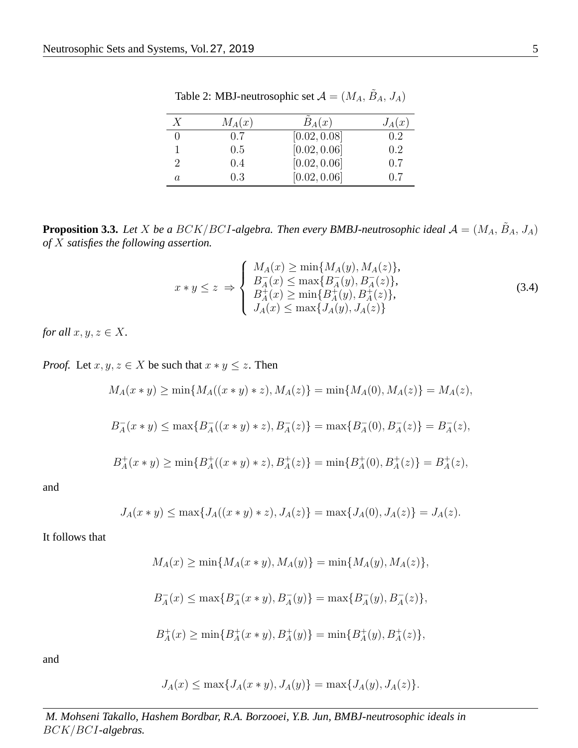| X | $M_A(x)$ | $B_A(x)$     | $J_A(x)$ |
|---|----------|--------------|----------|
|   | 0.7      | [0.02, 0.08] | 0.2      |
|   | 0.5      | [0.02, 0.06] | 0.2      |
|   | 0.4      | [0.02, 0.06] | 0.7      |
| a | 0.3      | [0.02, 0.06] | 0.7      |

<span id="page-4-0"></span>Table 2: MBJ-neutrosophic set  $A = (M_A, \tilde{B}_A, J_A)$ 

**Proposition 3.3.** Let X be a  $BCK/BCI$ -algebra. Then every BMBJ-neutrosophic ideal  $\mathcal{A} = (M_A, \tilde{B}_A, J_A)$ *of* X *satisfies the following assertion.*

<span id="page-4-1"></span>
$$
x * y \le z \implies \begin{cases} M_A(x) \ge \min\{M_A(y), M_A(z)\}, \\ B_A^-(x) \le \max\{B_A^-(y), B_A^-(z)\}, \\ B_A^+(x) \ge \min\{B_A^+(y), B_A^+(z)\}, \\ J_A(x) \le \max\{J_A(y), J_A(z)\} \end{cases}
$$
(3.4)

*for all*  $x, y, z \in X$ *.* 

*Proof.* Let  $x, y, z \in X$  be such that  $x * y \leq z$ . Then

$$
M_A(x * y) \ge \min\{M_A((x * y) * z), M_A(z)\} = \min\{M_A(0), M_A(z)\} = M_A(z),
$$

$$
B_A^-(x * y) \le \max\{B_A^-(x * y) * z), B_A^-(z)\} = \max\{B_A^-(0), B_A^-(z)\} = B_A^-(z),
$$

$$
B_A^+(x * y) \ge \min\{B_A^+((x * y) * z), B_A^+(z)\} = \min\{B_A^+(0), B_A^+(z)\} = B_A^+(z),
$$

and

$$
J_A(x * y) \le \max\{J_A((x * y) * z), J_A(z)\} = \max\{J_A(0), J_A(z)\} = J_A(z).
$$

It follows that

$$
M_A(x) \ge \min\{M_A(x*y), M_A(y)\} = \min\{M_A(y), M_A(z)\},\
$$

$$
B_A^-(x)\leq \max\{B_A^-(x*y),B_A^-(y)\}=\max\{B_A^-(y),B_A^-(z)\},
$$

$$
B_A^+(x) \ge \min\{B_A^+(x*y),B_A^+(y)\} = \min\{B_A^+(y),B_A^+(z)\},\
$$

and

$$
J_A(x) \le \max\{J_A(x*y), J_A(y)\} = \max\{J_A(y), J_A(z)\}.
$$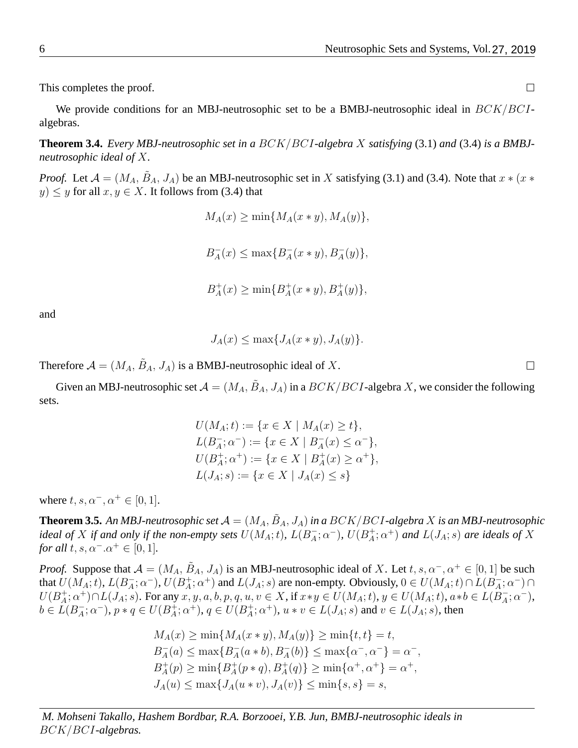This completes the proof.

We provide conditions for an MBJ-neutrosophic set to be a BMBJ-neutrosophic ideal in  $BCK/BCI$ algebras.

**Theorem 3.4.** *Every MBJ-neutrosophic set in a* BCK/BCI*-algebra* X *satisfying* [\(3.1\)](#page-3-1) *and* [\(3.4\)](#page-4-1) *is a BMBJneutrosophic ideal of* X*.*

*Proof.* Let  $\mathcal{A} = (M_A, \tilde{B}_A, J_A)$  be an MBJ-neutrosophic set in X satisfying [\(3.1\)](#page-3-1) and [\(3.4\)](#page-4-1). Note that  $x * (x *$  $y) \leq y$  for all  $x, y \in X$ . It follows from [\(3.4\)](#page-4-1) that

> $M_A(x) > \min\{M_A(x*y),M_A(y)\},\$  $B_A^ _A^-(x) \leq \max\{B_A^ _{A}^{-}(x * y), B_{A}^{-}(y)\},$  $B^+_A$  $_{A}^{+}(x) \geq \min\{B_{A}^{+}$  $_A^+(x * y), B_A^+(y) \},$

and

$$
J_A(x) \le \max\{J_A(x*y), J_A(y)\}.
$$

Therefore  $A = (M_A, \tilde{B}_A, J_A)$  is a BMBJ-neutrosophic ideal of X.

Given an MBJ-neutrosophic set  $\mathcal{A} = (M_A, \tilde{B}_A, J_A)$  in a  $BCK/BCI$ -algebra X, we consider the following sets.

$$
U(M_A; t) := \{ x \in X \mid M_A(x) \ge t \},
$$
  
\n
$$
L(B_A^-; \alpha^-) := \{ x \in X \mid B_A^-(x) \le \alpha^- \},
$$
  
\n
$$
U(B_A^+; \alpha^+) := \{ x \in X \mid B_A^+(x) \ge \alpha^+ \},
$$
  
\n
$$
L(J_A; s) := \{ x \in X \mid J_A(x) \le s \}
$$

where  $t, s, \alpha^-, \alpha^+ \in [0, 1]$ .

**Theorem 3.5.** An MBJ-neutrosophic set  $\mathcal{A}=(M_A, \tilde{B}_A, J_A)$  in a  $BCK/BCI$ -algebra  $X$  is an MBJ-neutrosophic *ideal of* X *if and only if the non-empty sets*  $U(M_A; t)$ ,  $L(B_A^+)$  $\bar{A}$ ;  $\alpha^{-}$ ),  $U(B_{A}^{+})$  $A_4^+; \alpha^+)$  and  $L(J_A; s)$  are ideals of  $X$ *for all*  $t, s, \alpha^- \alpha^+ \in [0, 1]$ *.* 

*Proof.* Suppose that  $A = (M_A, \tilde{B}_A, J_A)$  is an MBJ-neutrosophic ideal of X. Let  $t, s, \alpha^-, \alpha^+ \in [0, 1]$  be such that  $U(M_A; t)$ ,  $L(B_A^-)$  $\bar{A}$ ;  $\alpha^{-}$ ),  $U(B_{A}^{+})$  $A^+$ ;  $\alpha^+$ ) and  $L(J_A; s)$  are non-empty. Obviously,  $0 \in U(M_A; t) \cap L(B_A^-)$  $\bar{A}$ ;  $\alpha^{-}$ ) $\cap$  $U(B^+_A)$  $A^+_A; \alpha^+) \cap L(J_A; s)$ . For any  $x, y, a, b, p, q, u, v \in X$ , if  $x * y \in U(M_A; t)$ ,  $y \in U(M_A; t)$ ,  $a * b \in L(B_A^-)$  $\bar{A}$ ;  $\alpha^{-}$ ),  $b \in \widetilde{L}(B_A^-)$  $\bar{A}$ ;  $\alpha^{-}$ ),  $p * q \in U(B_{A}^{+})$  $_A^{\dagger}$ ;  $\alpha^+$ ),  $q \in U(B_A^+)$  $A_{A}^{+}; \alpha^{+}$ ),  $u * v \in L(J_{A}; s)$  and  $v \in L(J_{A}; s)$ , then

$$
M_A(x) \ge \min\{M_A(x*y), M_A(y)\} \ge \min\{t, t\} = t,
$$
  
\n
$$
B_A^-(a) \le \max\{B_A^-(a*b), B_A^-(b)\} \le \max\{\alpha^-, \alpha^-\} = \alpha^-,
$$
  
\n
$$
B_A^+(p) \ge \min\{B_A^+(p*q), B_A^+(q)\} \ge \min\{\alpha^+, \alpha^+\} = \alpha^+,
$$
  
\n
$$
J_A(u) \le \max\{J_A(u*v), J_A(v)\} \le \min\{s, s\} = s,
$$

*M. Mohseni Takallo, Hashem Bordbar, R.A. Borzooei, Y.B. Jun, BMBJ-neutrosophic ideals in* BCK/BCI*-algebras.*

 $\Box$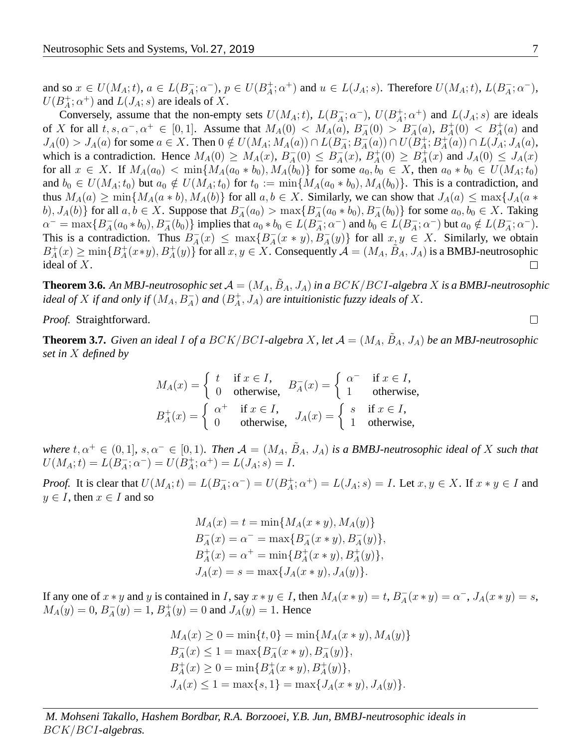and so  $x \in U(M_A; t)$ ,  $a \in L(B_A^-)$  $_{A}^{-}$ ;  $\alpha^{-}$ ),  $p \in U(B_{A}^{+})$  $A_i^+; \alpha^+$ ) and  $u \in L(J_A; s)$ . Therefore  $U(M_A; t)$ ,  $L(B_A^-)$  $\bar{A}$ ;  $\alpha^{-}$ ),  $U(B^+_A)$  $A^+_A$ ;  $\alpha^+$ ) and  $L(J_A; s)$  are ideals of X.

Conversely, assume that the non-empty sets  $U(M_A; t)$ ,  $L(B_A^-)$  $\bar{A}$ ;  $\alpha^{-}$ ),  $U(B_{A}^{+})$  $A^+$ ;  $\alpha^+$ ) and  $L(J_A; s)$  are ideals of X for all  $t, s, \alpha^-, \alpha^+ \in [0, 1]$ . Assume that  $M_A(0) < M_A(a)$ ,  $B_A^ A_4^-(0) > B_A^-(a), B_A^+$  $A^+(0) < B^+_A(a)$  and  $J_A(0) > J_A(a)$  for some  $a \in X$ . Then  $0 \notin U(M_A; M_A(a)) \cap L(B_A^-)$  $\frac{1}{A}$ ;  $B_A^{-}$  $_{A}^{-}(a))\cap U(B_{A}^{+}%$  $_{A}^{+}$ ;  $B_{A}^{+}$  $L^+_A(a)) \cap L(J_A; J_A(a),$ which is a contradiction. Hence  $M_A(0) \geq M_A(x)$ ,  $B_A^ \bar{A}(0) \leq B_A^{-}$  $A^{\dagger}(x)$ ,  $B^{\dagger}_A$  $A^+(0) \geq B_A^+$  $J_A^+(x)$  and  $J_A(0) \leq J_A(x)$ for all  $x \in X$ . If  $M_A(a_0) < \min\{M_A(a_0 * b_0), M_A(b_0)\}\$ for some  $a_0, b_0 \in X$ , then  $a_0 * b_0 \in U(M_A; t_0)$ and  $b_0 \in U(M_A; t_0)$  but  $a_0 \notin U(M_A; t_0)$  for  $t_0 := \min\{M_A(a_0 * b_0), M_A(b_0)\}\.$  This is a contradiction, and thus  $M_A(a) \ge \min\{M_A(a * b), M_A(b)\}\$  for all  $a, b \in X$ . Similarly, we can show that  $J_A(a) \le \max\{J_A(a * b)\}$ b),  $J_A(b)$ } for all  $a, b \in X$ . Suppose that  $B_A^ \overline{A}_A(a_0) > \max\{B_A^ A_{A}(a_{0}*b_{0}), B_{A}^{-}(b_{0})\}$  for some  $a_{0}, b_{0} \in X$ . Taking  $\alpha^- = \max\{B_A^-\}$  $A^-_A(a_0 * b_0), B^-_A(b_0) \}$  implies that  $a_0 * b_0 \in L(B_A^-)$  $\overline{A}$ ;  $\alpha^{-}$ ) and  $b_0 \in L(B_A^-)$  $(a_{A}^{-}; \alpha^{-})$  but  $a_0 \notin L(B_A^{-})$  $\bar{A}$ ;  $\alpha^{-}$ ). This is a contradiction. Thus  $B_A^ \overline{A}(x) \leq \max\{B_A^ A(x * y), B^-_A(y)$  for all  $x, y \in X$ . Similarly, we obtain  $A^+(x*y), B^+(y)$  for all  $x, y \in X$ . Consequently  $A = (M_A, \tilde{B}_A, J_A)$  is a BMBJ-neutrosophic  $B_A^+$  $_{A}^{+}(x) \geq \min\{B_{A}^{+}$ ideal of X.  $\Box$ 

**Theorem 3.6.** An MBJ-neutrosophic set  $\mathcal{A} = (M_A, \tilde{B}_A, J_A)$  in a  $BCK/BCI$ -algebra  $X$  is a BMBJ-neutrosophic *ideal of*  $X$  *if and only if*  $(M_A, B_A^-)$  *and*  $(B_A^+)$  $A^+_A, J_A)$  are intuitionistic fuzzy ideals of  $X$ .

*Proof.* Straightforward.

<span id="page-6-0"></span>**Theorem 3.7.** *Given an ideal I of a BCK*/*BCI-algebra X*, *let*  $\mathcal{A} = (M_A, \tilde{B}_A, J_A)$  *be an MBJ-neutrosophic set in* X *defined by*

$$
M_A(x) = \begin{cases} t & \text{if } x \in I, \\ 0 & \text{otherwise,} \end{cases} B_A^-(x) = \begin{cases} \alpha^- & \text{if } x \in I, \\ 1 & \text{otherwise,} \end{cases}
$$
  

$$
B_A^+(x) = \begin{cases} \alpha^+ & \text{if } x \in I, \\ 0 & \text{otherwise,} \end{cases} J_A(x) = \begin{cases} s & \text{if } x \in I, \\ 1 & \text{otherwise,} \end{cases}
$$

*where*  $t, \alpha^+ \in (0,1]$ ,  $s, \alpha^- \in [0,1)$ . Then  $\mathcal{A} = (M_A, \tilde{B}_A, J_A)$  is a BMBJ-neutrosophic ideal of X such that  $U(M_A;t) = L(B_A^{-})$  $\overline{A}$ ;  $\alpha^{-}$ ) =  $U(B_{A}^{+})$  $L_A^+(A^+)=L(J_A; s)=I.$ 

*Proof.* It is clear that  $U(M_A; t) = L(B_A^-)$  $_{A}^{-}$ ;  $\alpha^{-}$ ) =  $U(B_{A}^{+})$  $A_{\vec{A}}^+; \alpha^+) = L(J_A; s) = I$ . Let  $x, y \in X$ . If  $x * y \in I$  and  $y \in I$ , then  $x \in I$  and so

$$
M_A(x) = t = \min\{M_A(x * y), M_A(y)\}
$$
  
\n
$$
B_A^-(x) = \alpha^- = \max\{B_A^-(x * y), B_A^-(y)\},
$$
  
\n
$$
B_A^+(x) = \alpha^+ = \min\{B_A^+(x * y), B_A^+(y)\},
$$
  
\n
$$
J_A(x) = s = \max\{J_A(x * y), J_A(y)\}.
$$

If any one of  $x * y$  and y is contained in I, say  $x * y \in I$ , then  $M_A(x * y) = t$ ,  $B_A^ A_{A}(x * y) = \alpha^{-}, J_{A}(x * y) = s,$  $M_A(y) = 0, B_A^ _{A}^{-}(y) = 1, B_{A}^{+}$  $A_{A}^{+}(y) = 0$  and  $J_{A}(y) = 1$ . Hence

$$
M_A(x) \ge 0 = \min\{t, 0\} = \min\{M_A(x * y), M_A(y)\}
$$
  
\n
$$
B_A^-(x) \le 1 = \max\{B_A^-(x * y), B_A^-(y)\},
$$
  
\n
$$
B_A^+(x) \ge 0 = \min\{B_A^+(x * y), B_A^+(y)\},
$$
  
\n
$$
J_A(x) \le 1 = \max\{s, 1\} = \max\{J_A(x * y), J_A(y)\}.
$$

*M. Mohseni Takallo, Hashem Bordbar, R.A. Borzooei, Y.B. Jun, BMBJ-neutrosophic ideals in* BCK/BCI*-algebras.*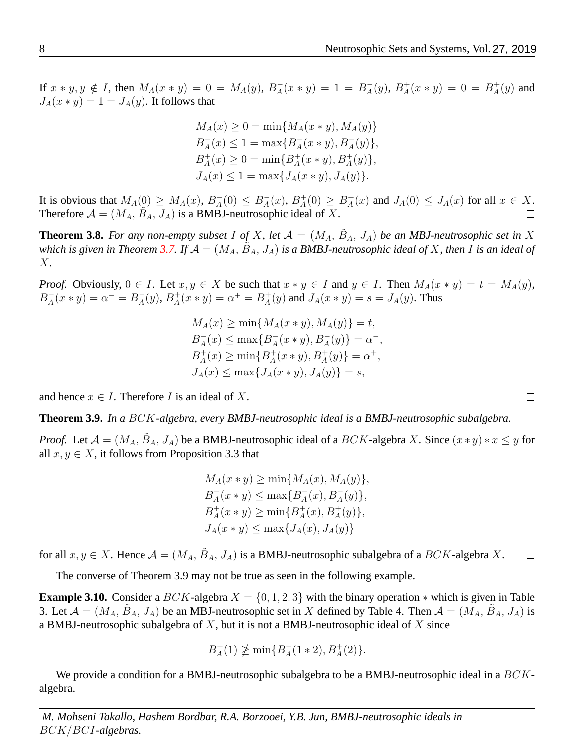If  $x * y, y \notin I$ , then  $M_A(x * y) = 0 = M_A(y), B_A^ \bar{A}(x * y) = 1 = B_A^ _{A}^{-}(y)$ ,  $B_{A}^{+}$  $A^+_A(x * y) = 0 = B^+_A$  $_A^+(y)$  and  $J_A(x * y) = 1 = J_A(y)$ . It follows that

> $M_A(x) \geq 0 = \min\{M_A(x * y), M_A(y)\}\$  $B_A^ \overline{A}_A(x) \leq 1 = \max\{B_A^{-1}\}$  $A_{A}(x * y), B_{A}^{-}(y)\},$  $B_{A}^{+}$  $_{A}^{+}(x) \geq 0 = \min\{B_{A}^{+}$  $A^+(x * y), B^+(y) \},$  $J_A(x) \leq 1 = \max\{J_A(x*y), J_A(y)\}.$

It is obvious that  $M_A(0) \geq M_A(x)$ ,  $B_A^ \bar{A}(0) \leq B_A^ _{A}^{-}(x)$ ,  $B_{A}^{+}$  $_A^+(0) \geq B_A^+$  $A_{A}^{+}(x)$  and  $J_{A}(0) \leq J_{A}(x)$  for all  $x \in X$ . Therefore  $A = (M_A, \tilde{B}_A, J_A)$  is a BMBJ-neutrosophic ideal of X.  $\Box$ 

**Theorem 3.8.** For any non-empty subset I of X, let  $\mathcal{A} = (M_A, \tilde{B}_A, J_A)$  be an MBJ-neutrosophic set in X which is given in Theorem [3.7.](#page-6-0) If  $\mathcal{A}=(M_A,\tilde{B}_A,J_A)$  is a BMBJ-neutrosophic ideal of  $X$ , then  $\tilde{I}$  is an ideal of X*.*

*Proof.* Obviously,  $0 \in I$ . Let  $x, y \in X$  be such that  $x * y \in I$  and  $y \in I$ . Then  $M_A(x * y) = t = M_A(y)$ ,  $B_A^+$  $A_{A}^{-}(x * y) = \alpha^{-} = B_{A}^{-}$  $_{A}^{-}(y)$ ,  $B_{A}^{+}$  $_{A}^{+}(x * y) = \alpha^{+} = B_{A}^{+}$  $A_{A}^{+}(y)$  and  $J_{A}(x * y) = s = J_{A}(y)$ . Thus

> $M_A(x) > \min\{M_A(x * y), M_A(y)\} = t$  $B_A^+$  $\overline{A}_A(x) \leq \max\{B_A^ A_{A}(x * y), B_{A}^{-}(y)\} = \alpha^{-},$  $B_4^+$  $A_{A}^{+}(x) \geq \min\{B_{A}^{+}$  $A^+(x * y), B^+(y) = \alpha^+,$  $J_A(x) \leq \max\{J_A(x*y), J_A(y)\} = s,$

and hence  $x \in I$ . Therefore I is an ideal of X.

<span id="page-7-0"></span>**Theorem 3.9.** *In a* BCK*-algebra, every BMBJ-neutrosophic ideal is a BMBJ-neutrosophic subalgebra.*

*Proof.* Let  $\mathcal{A} = (M_A, \tilde{B}_A, J_A)$  be a BMBJ-neutrosophic ideal of a  $BCK$ -algebra X. Since  $(x * y) * x \leq y$  for all  $x, y \in X$ , it follows from Proposition [3.3](#page-3-2) that

$$
M_A(x * y) \ge \min\{M_A(x), M_A(y)\},
$$
  
\n
$$
B_A^-(x * y) \le \max\{B_A^-(x), B_A^-(y)\},
$$
  
\n
$$
B_A^+(x * y) \ge \min\{B_A^+(x), B_A^+(y)\},
$$
  
\n
$$
J_A(x * y) \le \max\{J_A(x), J_A(y)\}
$$

for all  $x, y \in X$ . Hence  $\mathcal{A} = (M_A, \tilde{B}_A, J_A)$  is a BMBJ-neutrosophic subalgebra of a  $BCK$ -algebra X.  $\Box$ 

The converse of Theorem [3.9](#page-7-0) may not be true as seen in the following example.

**Example 3.10.** Consider a BCK-algebra  $X = \{0, 1, 2, 3\}$  with the binary operation  $*$  which is given in Table [3.](#page-8-0) Let  $\mathcal{A} = (M_A, \tilde{B}_A, J_A)$  be an MBJ-neutrosophic set in X defined by Table [4.](#page-8-1) Then  $\mathcal{A} = (M_A, \tilde{B}_A, J_A)$  is a BMBJ-neutrosophic subalgebra of  $X$ , but it is not a BMBJ-neutrosophic ideal of  $X$  since

$$
B_A^+(1) \ngeq \min\{B_A^+(1*2), B_A^+(2)\}.
$$

We provide a condition for a BMBJ-neutrosophic subalgebra to be a BMBJ-neutrosophic ideal in a  $BCK$ algebra.

*M. Mohseni Takallo, Hashem Bordbar, R.A. Borzooei, Y.B. Jun, BMBJ-neutrosophic ideals in* BCK/BCI*-algebras.*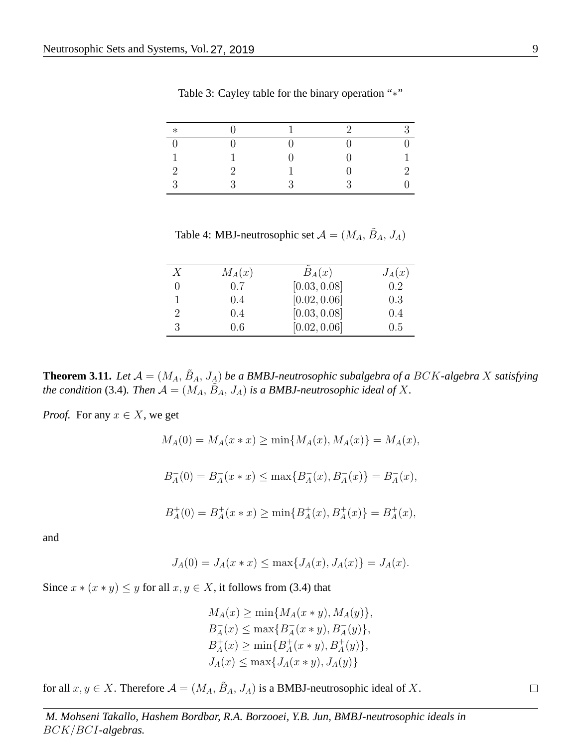| $\ast$   |   |   | $\mathcal{D}$ | $\mathcal{R}$ |
|----------|---|---|---------------|---------------|
| $\Gamma$ |   |   |               |               |
| 1        |   |   |               |               |
| $\Omega$ |   |   |               | ົ             |
| $\Omega$ | 2 | ว | $\mathbf{Q}$  |               |

<span id="page-8-0"></span>Table 3: Cayley table for the binary operation "∗"

<span id="page-8-1"></span>Table 4: MBJ-neutrosophic set  $A = (M_A, \tilde{B}_A, J_A)$ 

| Х | $M_A(x)$ | $B_A(x)$     | $J_A(x)$ |
|---|----------|--------------|----------|
|   | 0.7      | [0.03, 0.08] | $0.2\,$  |
|   | 0.4      | [0.02, 0.06] | 0.3      |
|   | 0.4      | [0.03, 0.08] | 0.4      |
|   | 0.6      | [0.02, 0.06] | 0.5      |

**Theorem 3.11.** Let  $\mathcal{A} = (M_A, \tilde{B}_A, J_A)$  be a BMBJ-neutrosophic subalgebra of a BCK-algebra X satisfying *the condition* [\(3.4\)](#page-4-1). Then  $\mathcal{A} = (M_A, \tilde{B}_A, J_A)$  *is a BMBJ-neutrosophic ideal of* X.

*Proof.* For any  $x \in X$ , we get

 $M_A(0) = M_A(x*x) > \min\{M_A(x), M_A(x)\} = M_A(x),$ 

 $B_A^ _{A}^{-}(0) = B_{A}^{-}$  $\frac{1}{A}(x * x) \leq \max\{B_A^{-}$  $_{A}^{-}(x), B_{A}^{-}(x) \} = B_{A}^{-}$  $\bar{A}(x),$ 

$$
B_A^+(0) = B_A^+(x * x) \ge \min\{B_A^+(x), B_A^+(x)\} = B_A^+(x),
$$

and

$$
J_A(0) = J_A(x * x) \le \max\{J_A(x), J_A(x)\} = J_A(x).
$$

Since  $x * (x * y) \leq y$  for all  $x, y \in X$ , it follows from [\(3.4\)](#page-4-1) that

 $M_A(x) \geq \min\{M_A(x*y), M_A(y)\},\$  $B_A^ \overline{A}_A(x) \leq \max\{B_A^ A(x * y), B_A^-(y)$ ,  $B_A^+$  $A_{A}^{+}(x) \geq \min\{B_{A}^{+}$  $A^+(x * y), B^+(y) \},$  $J_A(x) \le \max\{J_A(x*y), J_A(y)\}\$ 

for all  $x, y \in X$ . Therefore  $\mathcal{A} = (M_A, \tilde{B}_A, J_A)$  is a BMBJ-neutrosophic ideal of X.

*M. Mohseni Takallo, Hashem Bordbar, R.A. Borzooei, Y.B. Jun, BMBJ-neutrosophic ideals in* BCK/BCI*-algebras.*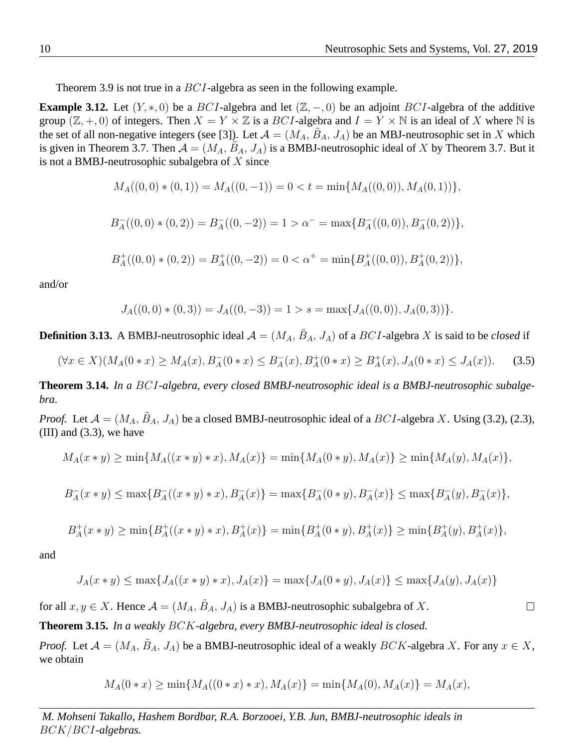Theorem [3.9](#page-7-0) is not true in a  $BCI$ -algebra as seen in the following example.

**Example 3.12.** Let  $(Y, *, 0)$  be a BCI-algebra and let  $(\mathbb{Z}, -, 0)$  be an adjoint BCI-algebra of the additive group  $(\mathbb{Z}, +, 0)$  of integers. Then  $X = Y \times \mathbb{Z}$  is a BCI-algebra and  $I = Y \times \mathbb{N}$  is an ideal of X where  $\mathbb{N}$  is the set of all non-negative integers (see [\[3\]](#page-15-12)). Let  $A = (M_A, \tilde{B}_A, J_A)$  be an MBJ-neutrosophic set in X which is given in Theorem [3.7.](#page-6-0) Then  $\mathcal{A} = (M_A, \tilde{B}_A, J_A)$  is a BMBJ-neutrosophic ideal of X by Theorem 3.7. But it is not a BMBJ-neutrosophic subalgebra of  $X$  since

$$
M_A((0,0)*(0,1)) = M_A((0,-1)) = 0 < t = \min\{M_A((0,0)), M_A(0,1))\},\
$$

$$
B_A^-((0,0)*(0,2)) = B_A^-((0,-2)) = 1 > \alpha^- = \max\{B_A^-((0,0)), B_A^-(0,2))\},\,
$$

$$
B_A^+((0,0)*(0,2)) = B_A^+((0,-2)) = 0 < \alpha^+ = \min\{B_A^+((0,0)), B_A^+(0,2))\},
$$

and/or

$$
J_A((0,0)*(0,3)) = J_A((0,-3)) = 1 > s = \max\{J_A((0,0)), J_A(0,3))\}.
$$

**Definition 3.13.** A BMBJ-neutrosophic ideal  $A = (M_A, \tilde{B}_A, J_A)$  of a  $BCI$ -algebra X is said to be *closed* if

$$
(\forall x \in X)(M_A(0*x) \ge M_A(x), B_A^-(0*x) \le B_A^-(x), B_A^+(0*x) \ge B_A^+(x), J_A(0*x) \le J_A(x)).
$$
 (3.5)

<span id="page-9-0"></span>**Theorem 3.14.** *In a* BCI*-algebra, every closed BMBJ-neutrosophic ideal is a BMBJ-neutrosophic subalgebra.*

*Proof.* Let  $\mathcal{A} = (M_A, \tilde{B}_A, J_A)$  be a closed BMBJ-neutrosophic ideal of a  $BCI$ -algebra X. Using [\(3.2\)](#page-3-3), [\(2.3\)](#page-1-0),  $(III)$  and  $(3.3)$ , we have

$$
M_A(x * y) \ge \min\{M_A((x * y) * x), M_A(x)\} = \min\{M_A(0 * y), M_A(x)\} \ge \min\{M_A(y), M_A(x)\},
$$

$$
B_A^-(x * y) \le \max\{B_A^-(x * y) * x), B_A^-(x)\} = \max\{B_A^-(0 * y), B_A^-(x)\} \le \max\{B_A^-(y), B_A^-(x)\},
$$

$$
B_A^+(x * y) \ge \min\{B_A^+((x * y) * x), B_A^+(x)\} = \min\{B_A^+(0 * y), B_A^+(x)\} \ge \min\{B_A^+(y), B_A^+(x)\},
$$

and

$$
J_A(x * y) \le \max\{J_A((x * y) * x), J_A(x)\} = \max\{J_A(0 * y), J_A(x)\} \le \max\{J_A(y), J_A(x)\}
$$

for all  $x, y \in X$ . Hence  $\mathcal{A} = (M_A, \tilde{B}_A, J_A)$  is a BMBJ-neutrosophic subalgebra of X.

**Theorem 3.15.** *In a weakly* BCK*-algebra, every BMBJ-neutrosophic ideal is closed.*

*Proof.* Let  $\mathcal{A} = (M_A, \tilde{B}_A, J_A)$  be a BMBJ-neutrosophic ideal of a weakly  $BCK$ -algebra X. For any  $x \in X$ , we obtain

$$
M_A(0*x) \ge \min\{M_A((0*x)*x), M_A(x)\} = \min\{M_A(0), M_A(x)\} = M_A(x),
$$

*M. Mohseni Takallo, Hashem Bordbar, R.A. Borzooei, Y.B. Jun, BMBJ-neutrosophic ideals in* BCK/BCI*-algebras.*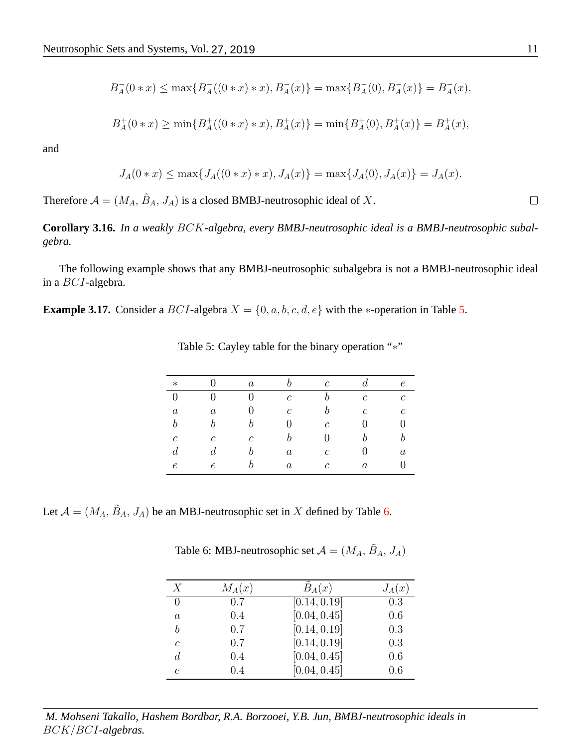$$
B_A^-(0*x)\leq \max\{B_A^-(0*x)*x), B_A^-(x)\}=\max\{B_A^-(0), B_A^-(x)\}=B_A^-(x),
$$

$$
B_A^+(0*x) \ge \min\{B_A^+(0*x)*x), B_A^+(x)\} = \min\{B_A^+(0), B_A^+(x)\} = B_A^+(x),
$$

$$
J_A(0*x) \le \max\{J_A((0*x)*x), J_A(x)\} = \max\{J_A(0), J_A(x)\} = J_A(x).
$$

Therefore  $A = (M_A, \tilde{B}_A, J_A)$  is a closed BMBJ-neutrosophic ideal of X.

**Corollary 3.16.** *In a weakly* BCK*-algebra, every BMBJ-neutrosophic ideal is a BMBJ-neutrosophic subalgebra.*

The following example shows that any BMBJ-neutrosophic subalgebra is not a BMBJ-neutrosophic ideal in a BCI-algebra.

**Example 3.17.** Consider a BCI-algebra  $X = \{0, a, b, c, d, e\}$  with the ∗-operation in Table [5.](#page-10-0)

| $\ast$           |                  | $\boldsymbol{a}$ |                  | $\mathcal{C}$  |                | $\epsilon$       |
|------------------|------------------|------------------|------------------|----------------|----------------|------------------|
| $\overline{0}$   |                  |                  | $\mathcal{C}$    | h              | $\overline{c}$ | $\mathcal{C}$    |
| $\boldsymbol{a}$ | $\boldsymbol{a}$ |                  | $\mathcal{C}$    | h              | $\mathcal{C}$  | $\mathcal{C}$    |
| $\boldsymbol{b}$ | b                |                  | 0                | $\overline{c}$ |                | O                |
| $\mathfrak c$    | $\mathcal{C}$    | $\mathcal{C}$    | b                | 0              |                |                  |
| $\boldsymbol{d}$ | $\overline{d}$   |                  | $\boldsymbol{a}$ | $\mathcal{C}$  |                | $\boldsymbol{a}$ |
| $\epsilon$       | $\epsilon$       |                  | $\boldsymbol{a}$ | $\mathcal C$   | $\it a$        |                  |

<span id="page-10-0"></span>Table 5: Cayley table for the binary operation "∗"

Let  $\mathcal{A} = (M_A, \tilde{B}_A, J_A)$  be an MBJ-neutrosophic set in X defined by Table [6.](#page-10-1)

<span id="page-10-1"></span>Table 6: MBJ-neutrosophic set  $A = (M_A, \tilde{B}_A, J_A)$ 

| $\boldsymbol{X}$ | $M_A(x)$ | $B_{A}(x)$   | $J_A(x)$ |
|------------------|----------|--------------|----------|
| 0                | 0.7      | [0.14, 0.19] | 0.3      |
| $\alpha$         | 0.4      | [0.04, 0.45] | 0.6      |
| h                | 0.7      | [0.14, 0.19] | 0.3      |
| C                | 0.7      | [0.14, 0.19] | 0.3      |
| d                | 0.4      | [0.04, 0.45] | 0.6      |
| e                | 0.4      | [0.04, 0.45] | 0.6      |

*M. Mohseni Takallo, Hashem Bordbar, R.A. Borzooei, Y.B. Jun, BMBJ-neutrosophic ideals in* BCK/BCI*-algebras.*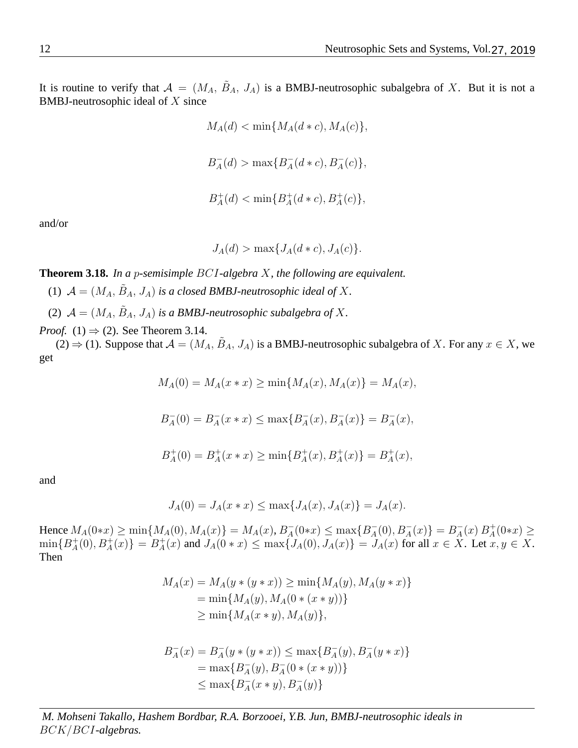It is routine to verify that  $A = (M_A, \tilde{B}_A, J_A)$  is a BMBJ-neutrosophic subalgebra of X. But it is not a BMBJ-neutrosophic ideal of X since

> $M_A(d) < \min\{M_A(d*c), M_A(c)\},$  $B_A^ _{A}^{-}(d) > \max\{B_{A}^{-}$  $_{A}^{-}(d * c), B_{A}^{-}(c)\},$  $B_A^+$  $_{A}^{+}(d) < \min\{B_{A}^{+}$  $A^+(d*c), B^+_A(c) \},$

and/or

$$
J_A(d) > \max\{J_A(d*c), J_A(c)\}.
$$

**Theorem 3.18.** *In a* p*-semisimple* BCI*-algebra* X*, the following are equivalent.*

(1)  $\mathcal{A} = (M_A, \tilde{B}_A, J_A)$  *is a closed BMBJ-neutrosophic ideal of* X.

(2)  $\mathcal{A} = (M_A, \tilde{B}_A, J_A)$  *is a BMBJ-neutrosophic subalgebra of* X.

*Proof.* (1)  $\Rightarrow$  (2). See Theorem [3.14.](#page-9-0)

 $(2) \Rightarrow (1)$ . Suppose that  $\mathcal{A} = (M_A, \tilde{B}_A, J_A)$  is a BMBJ-neutrosophic subalgebra of X. For any  $x \in X$ , we get

 $M_A(0) = M_A(x * x) > \min\{M_A(x), M_A(x)\} = M_A(x),$ 

$$
B_A^-(0) = B_A^-(x*x) \le \max\{B_A^-(x),B_A^-(x)\} = B_A^-(x),
$$

$$
B_A^+(0) = B_A^+(x * x) \ge \min\{B_A^+(x), B_A^+(x)\} = B_A^+(x),
$$

and

$$
J_A(0) = J_A(x * x) \le \max\{J_A(x), J_A(x)\} = J_A(x).
$$

Hence  $M_A(0*x) \ge \min\{M_A(0), M_A(x)\} = M_A(x), B_A^{-}$  $\sum_{A} (0 \ast x) \leq \max \{ B_A^ A_4^-(0), B_A^-(x) \} = B_A^ _{A}^{-}(x) B_{A}^{+}$  $_{A}^{+}(0*x) \geq$  $\min\{B_A^+$  $A^+(0), B^+_A(x)$ } =  $B^+_A$  $A_A^+(x)$  and  $J_A(0*x) \le \max\{J_A(0), J_A(x)\} = J_A(x)$  for all  $x \in X$ . Let  $x, y \in X$ . Then

$$
M_A(x) = M_A(y * (y * x)) \ge \min\{M_A(y), M_A(y * x)\}
$$
  
=  $\min\{M_A(y), M_A(0 * (x * y))\}$   
 $\ge \min\{M_A(x * y), M_A(y)\},$ 

$$
B_A^-(x) = B_A^-(y * (y * x)) \le \max\{B_A^-(y), B_A^-(y * x)\}
$$
  
=  $\max\{B_A^-(y), B_A^-(0 * (x * y))\}$   
 $\le \max\{B_A^-(x * y), B_A^-(y)\}$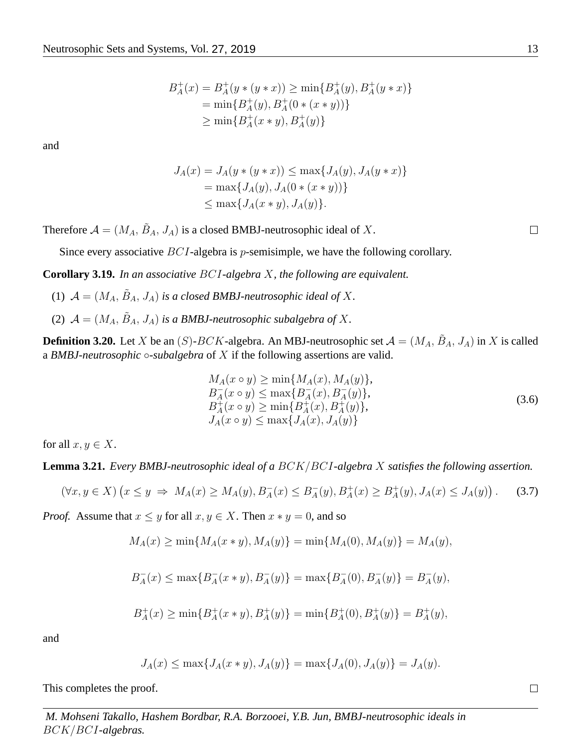$$
B_A^+(x) = B_A^+(y * (y * x)) \ge \min\{B_A^+(y), B_A^+(y * x)\}
$$
  
=  $\min\{B_A^+(y), B_A^+(0 * (x * y))\}$   
 $\ge \min\{B_A^+(x * y), B_A^+(y)\}$ 

$$
J_A(x) = J_A(y * (y * x)) \le \max\{J_A(y), J_A(y * x)\}
$$
  
=  $\max\{J_A(y), J_A(0 * (x * y))\}$   
 $\le \max\{J_A(x * y), J_A(y)\}.$ 

Therefore  $A = (M_A, \tilde{B}_A, J_A)$  is a closed BMBJ-neutrosophic ideal of X.

Since every associative  $BCI$ -algebra is *p*-semisimple, we have the following corollary.

**Corollary 3.19.** *In an associative* BCI*-algebra* X*, the following are equivalent.*

- (1)  $\mathcal{A} = (M_A, \tilde{B}_A, J_A)$  *is a closed BMBJ-neutrosophic ideal of* X.
- (2)  $\mathcal{A} = (M_A, \tilde{B}_A, J_A)$  *is a BMBJ-neutrosophic subalgebra of* X.

**Definition 3.20.** Let X be an  $(S)$ - $BCK$ -algebra. An MBJ-neutrosophic set  $\mathcal{A} = (M_A, \tilde{B}_A, J_A)$  in X is called a *BMBJ-neutrosophic* ◦*-subalgebra* of X if the following assertions are valid.

$$
M_A(x \circ y) \ge \min\{M_A(x), M_A(y)\},
$$
  
\n
$$
B_A^-(x \circ y) \le \max\{B_A^-(x), B_A^-(y)\},
$$
  
\n
$$
B_A^+(x \circ y) \ge \min\{B_A^+(x), B_A^+(y)\},
$$
  
\n
$$
J_A(x \circ y) \le \max\{J_A(x), J_A(y)\}
$$
\n(3.6)

for all  $x, y \in X$ .

<span id="page-12-0"></span>**Lemma 3.21.** *Every BMBJ-neutrosophic ideal of a* BCK/BCI*-algebra* X *satisfies the following assertion.*

$$
(\forall x, y \in X) \left( x \le y \implies M_A(x) \ge M_A(y), B_A^-(x) \le B_A^-(y), B_A^+(x) \ge B_A^+(y), J_A(x) \le J_A(y) \right). \tag{3.7}
$$

*Proof.* Assume that  $x \leq y$  for all  $x, y \in X$ . Then  $x * y = 0$ , and so

$$
M_A(x) \ge \min\{M_A(x*y), M_A(y)\} = \min\{M_A(0), M_A(y)\} = M_A(y),
$$

$$
B_A^-(x) \le \max\{B_A^-(x*y),B_A^-(y)\} = \max\{B_A^-(0),B_A^-(y)\} = B_A^-(y),
$$

$$
B_A^+(x) \ge \min\{B_A^+(x*y),B_A^+(y)\} = \min\{B_A^+(0),B_A^+(y)\} = B_A^+(y),
$$

and

$$
J_A(x) \le \max\{J_A(x*y), J_A(y)\} = \max\{J_A(0), J_A(y)\} = J_A(y).
$$

This completes the proof.

*M. Mohseni Takallo, Hashem Bordbar, R.A. Borzooei, Y.B. Jun, BMBJ-neutrosophic ideals in* BCK/BCI*-algebras.*

 $\Box$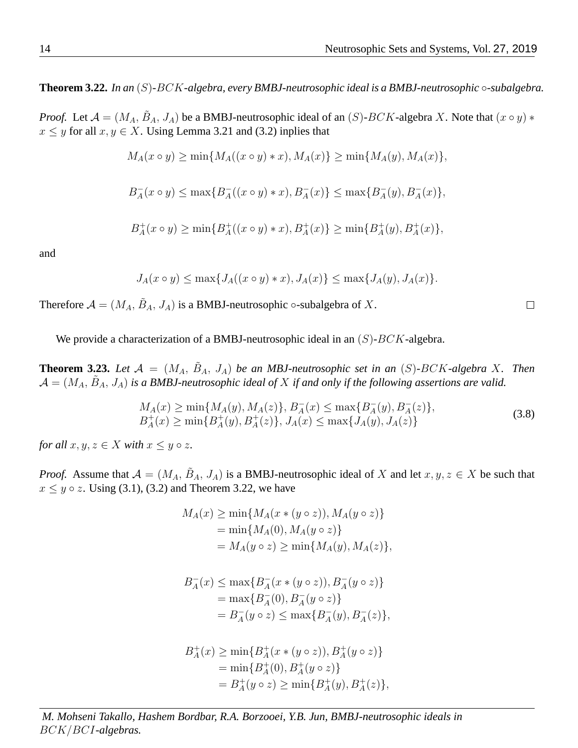<span id="page-13-0"></span>**Theorem 3.22.** *In an* (S)*-*BCK*-algebra, every BMBJ-neutrosophic ideal is a BMBJ-neutrosophic* ◦*-subalgebra.*

*Proof.* Let  $\mathcal{A} = (M_A, \tilde{B}_A, J_A)$  be a BMBJ-neutrosophic ideal of an  $(S)$ - $BCK$ -algebra X. Note that  $(x \circ y)$  \*  $x \leq y$  for all  $x, y \in X$ . Using Lemma [3.21](#page-12-0) and [\(3.2\)](#page-3-3) inplies that

$$
M_A(x \circ y) \ge \min\{M_A((x \circ y) * x), M_A(x)\} \ge \min\{M_A(y), M_A(x)\},\
$$

$$
B_A^-(x \circ y) \le \max\{B_A^-(x \circ y) * x), B_A^-(x)\} \le \max\{B_A^-(y), B_A^-(x)\},
$$

$$
B_A^+(x \circ y) \ge \min\{B_A^+((x \circ y) * x), B_A^+(x)\} \ge \min\{B_A^+(y), B_A^+(x)\},\
$$

and

$$
J_A(x \circ y) \le \max\{J_A((x \circ y) * x), J_A(x)\} \le \max\{J_A(y), J_A(x)\}.
$$

Therefore  $\mathcal{A} = (M_A, \tilde{B}_A, J_A)$  is a BMBJ-neutrosophic  $\circ$ -subalgebra of X.

We provide a characterization of a BMBJ-neutrosophic ideal in an  $(S)$ - $BCK$ -algebra.

**Theorem 3.23.** Let  $\mathcal{A} = (M_A, \tilde{B}_A, J_A)$  be an MBJ-neutrosophic set in an (S)-BCK-algebra X. Then  $\mathcal{A} = (M_A, \tilde{B}_A, J_A)$  is a BMBJ-neutrosophic ideal of X if and only if the following assertions are valid.

$$
M_A(x) \ge \min\{M_A(y), M_A(z)\}, B_A^-(x) \le \max\{B_A^-(y), B_A^-(z)\},
$$
  
\n
$$
B_A^+(x) \ge \min\{B_A^+(y), B_A^+(z)\}, J_A(x) \le \max\{J_A(y), J_A(z)\}
$$
\n(3.8)

*for all*  $x, y, z \in X$  *with*  $x \leq y \circ z$ *.* 

*Proof.* Assume that  $A = (M_A, \tilde{B}_A, J_A)$  is a BMBJ-neutrosophic ideal of X and let  $x, y, z \in X$  be such that  $x \leq y \circ z$ . Using [\(3.1\)](#page-3-1), [\(3.2\)](#page-3-3) and Theorem [3.22,](#page-13-0) we have

<span id="page-13-1"></span>
$$
M_A(x) \ge \min\{M_A(x * (y \circ z)), M_A(y \circ z)\}
$$
  
=  $\min\{M_A(0), M_A(y \circ z)\}$   
=  $M_A(y \circ z) \ge \min\{M_A(y), M_A(z)\},$ 

$$
B_A^-(x) \le \max\{B_A^-(x * (y \circ z)), B_A^-(y \circ z)\}
$$
  
= max $\{B_A^-(0), B_A^-(y \circ z)\}$   
=  $B_A^-(y \circ z) \le \max\{B_A^-(y), B_A^-(z)\},$ 

$$
B_A^+(x) \ge \min\{B_A^+(x * (y \circ z)), B_A^+(y \circ z)\}
$$
  
=  $\min\{B_A^+(0), B_A^+(y \circ z)\}$   
=  $B_A^+(y \circ z) \ge \min\{B_A^+(y), B_A^+(z)\},$ 

*M. Mohseni Takallo, Hashem Bordbar, R.A. Borzooei, Y.B. Jun, BMBJ-neutrosophic ideals in* BCK/BCI*-algebras.*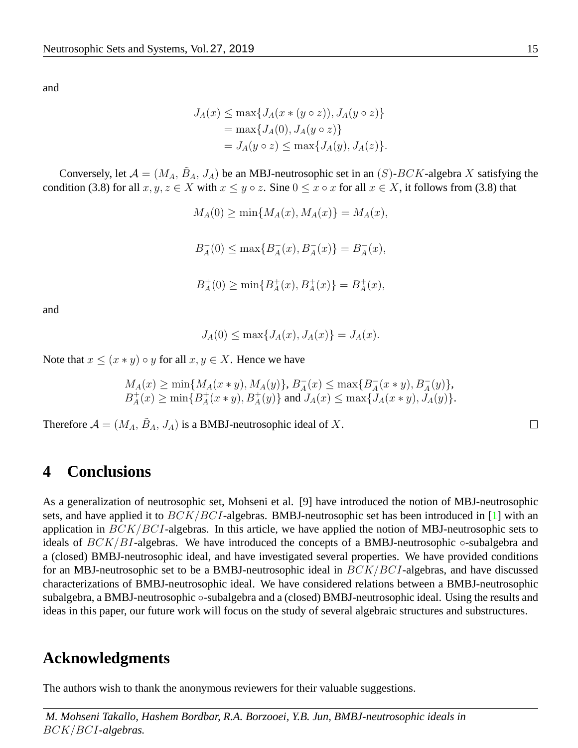$$
J_A(x) \le \max\{J_A(x * (y \circ z)), J_A(y \circ z)\}
$$
  
= max{ $J_A(0), J_A(y \circ z)$ }  
=  $J_A(y \circ z) \le \max\{J_A(y), J_A(z)\}.$ 

Conversely, let  $\mathcal{A} = (M_A, \tilde{B}_A, J_A)$  be an MBJ-neutrosophic set in an  $(S)$ - $BCK$ -algebra X satisfying the condition [\(3.8\)](#page-13-1) for all  $x, y, z \in X$  with  $x \leq y \circ z$ . Sine  $0 \leq x \circ x$  for all  $x \in X$ , it follows from [\(3.8\)](#page-13-1) that

> $M_A(0) \geq \min\{M_A(x), M_A(x)\} = M_A(x),$  $B_A^ _{A}^{-}(0) \leq \max\{B_{A}^{-}\}$  $_{A}^{-}(x), B_{A}^{-}(x) \} = B_{A}^{-}$  $\bar{A}(x),$  $B_A^+$  $_{A}^{+}(0) \geq \min\{B_{A}^{+}$  $A^+(x), B^+_A(x) \} = B^+_A$  $^+_A(x),$

and

$$
J_A(0) \le \max\{J_A(x), J_A(x)\} = J_A(x).
$$

Note that  $x \leq (x * y) \circ y$  for all  $x, y \in X$ . Hence we have

$$
M_A(x) \ge \min\{M_A(x*y), M_A(y)\}, B_A^-(x) \le \max\{B_A^-(x*y), B_A^-(y)\},
$$
  

$$
B_A^+(x) \ge \min\{B_A^+(x*y), B_A^+(y)\} \text{ and } J_A(x) \le \max\{J_A(x*y), J_A(y)\}.
$$

Therefore  $A = (M_A, \tilde{B}_A, J_A)$  is a BMBJ-neutrosophic ideal of X.

#### **4 Conclusions**

As a generalization of neutrosophic set, Mohseni et al. [\[9\]](#page-15-10) have introduced the notion of MBJ-neutrosophic sets, and have applied it to  $BCK/BCI$ -algebras. BMBJ-neutrosophic set has been introduced in [\[1\]](#page-15-11) with an application in  $BCK/BCI$ -algebras. In this article, we have applied the notion of MBJ-neutrosophic sets to ideals of  $BCK/BI$ -algebras. We have introduced the concepts of a BMBJ-neutrosophic  $\circ$ -subalgebra and a (closed) BMBJ-neutrosophic ideal, and have investigated several properties. We have provided conditions for an MBJ-neutrosophic set to be a BMBJ-neutrosophic ideal in  $BCK/BCI$ -algebras, and have discussed characterizations of BMBJ-neutrosophic ideal. We have considered relations between a BMBJ-neutrosophic subalgebra, a BMBJ-neutrosophic ∘-subalgebra and a (closed) BMBJ-neutrosophic ideal. Using the results and ideas in this paper, our future work will focus on the study of several algebraic structures and substructures.

#### **Acknowledgments**

The authors wish to thank the anonymous reviewers for their valuable suggestions.

*M. Mohseni Takallo, Hashem Bordbar, R.A. Borzooei, Y.B. Jun, BMBJ-neutrosophic ideals in* BCK/BCI*-algebras.*